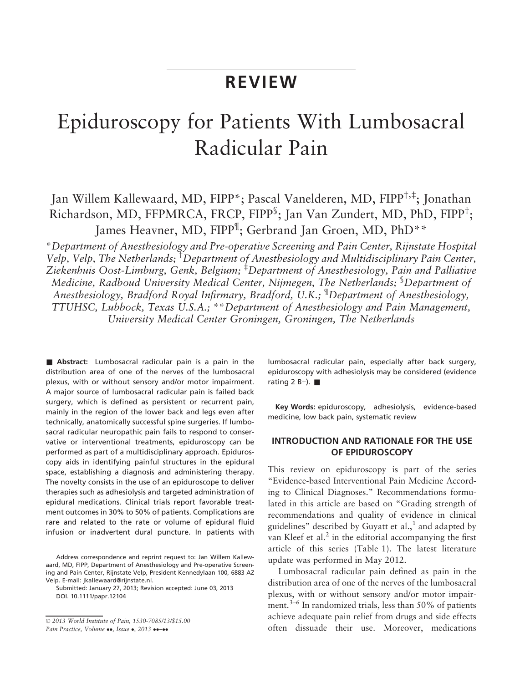# REVIEW

# Epiduroscopy for Patients With Lumbosacral Radicular Pain

Jan Willem Kallewaard, MD, FIPP\*; Pascal Vanelderen, MD, FIPP†,‡; Jonathan Richardson, MD, FFPMRCA, FRCP, FIPP<sup>\$</sup>; Jan Van Zundert, MD, PhD, FIPP<sup>†</sup>; James Heavner, MD, FIPP<sup>¶</sup>; Gerbrand Jan Groen, MD, PhD\*\*

\*Department of Anesthesiology and Pre-operative Screening and Pain Center, Rijnstate Hospital Velp, Velp, The Netherlands; <sup>†</sup>Department of Anesthesiology and Multidisciplinary Pain Center, Ziekenhuis Oost-Limburg, Genk, Belgium; <sup>‡</sup>Department of Anesthesiology, Pain and Palliative Medicine, Radboud University Medical Center, Nijmegen, The Netherlands; <sup>§</sup>Department of Anesthesiology, Bradford Royal Infirmary, Bradford, U.K.; <sup>¶</sup>Department of Anesthesiology, TTUHSC, Lubbock, Texas U.S.A.; \*\*Department of Anesthesiology and Pain Management, University Medical Center Groningen, Groningen, The Netherlands

**Abstract:** Lumbosacral radicular pain is a pain in the distribution area of one of the nerves of the lumbosacral plexus, with or without sensory and/or motor impairment. A major source of lumbosacral radicular pain is failed back surgery, which is defined as persistent or recurrent pain, mainly in the region of the lower back and legs even after technically, anatomically successful spine surgeries. If lumbosacral radicular neuropathic pain fails to respond to conservative or interventional treatments, epiduroscopy can be performed as part of a multidisciplinary approach. Epiduroscopy aids in identifying painful structures in the epidural space, establishing a diagnosis and administering therapy. The novelty consists in the use of an epiduroscope to deliver therapies such as adhesiolysis and targeted administration of epidural medications. Clinical trials report favorable treatment outcomes in 30% to 50% of patients. Complications are rare and related to the rate or volume of epidural fluid infusion or inadvertent dural puncture. In patients with

Address correspondence and reprint request to: Jan Willem Kallewaard, MD, FIPP, Department of Anesthesiology and Pre-operative Screening and Pain Center, Rijnstate Velp, President Kennedylaan 100, 6883 AZ Velp. E-mail: jkallewaard@rijnstate.nl.

Submitted: January 27, 2013; Revision accepted: June 03, 2013 DOI. 10.1111/papr.12104

© 2013 World Institute of Pain, 1530-7085/13/\$15.00 Pain Practice, Volume ..., Issue ., 2013 ...

lumbosacral radicular pain, especially after back surgery, epiduroscopy with adhesiolysis may be considered (evidence rating 2 B+).  $\blacksquare$ 

Key Words: epiduroscopy, adhesiolysis, evidence-based medicine, low back pain, systematic review

# INTRODUCTION AND RATIONALE FOR THE USE OF EPIDUROSCOPY

This review on epiduroscopy is part of the series "Evidence-based Interventional Pain Medicine According to Clinical Diagnoses." Recommendations formulated in this article are based on "Grading strength of recommendations and quality of evidence in clinical guidelines" described by Guyatt et al., $\frac{1}{1}$  and adapted by van Kleef et al. $2$  in the editorial accompanying the first article of this series (Table 1). The latest literature update was performed in May 2012.

Lumbosacral radicular pain defined as pain in the distribution area of one of the nerves of the lumbosacral plexus, with or without sensory and/or motor impairment.3–<sup>6</sup> In randomized trials, less than 50% of patients achieve adequate pain relief from drugs and side effects often dissuade their use. Moreover, medications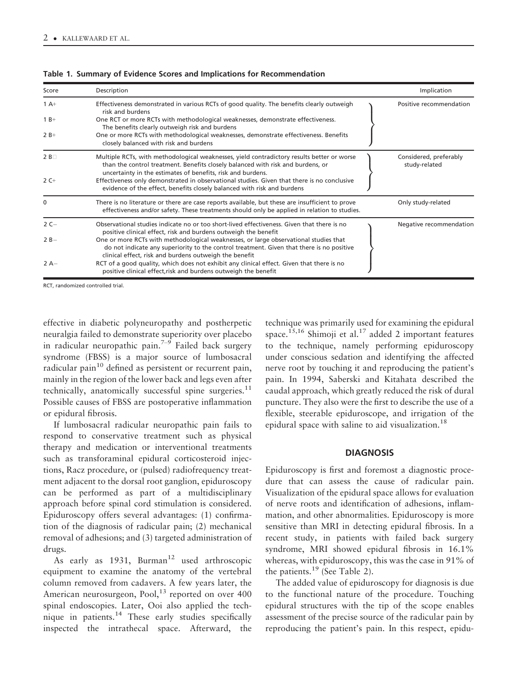| Score           | Description                                                                                                                                                                                                                                  | Implication                             |
|-----------------|----------------------------------------------------------------------------------------------------------------------------------------------------------------------------------------------------------------------------------------------|-----------------------------------------|
| $1A+$           | Effectiveness demonstrated in various RCTs of good quality. The benefits clearly outweigh<br>risk and burdens                                                                                                                                | Positive recommendation                 |
| $1B+$           | One RCT or more RCTs with methodological weaknesses, demonstrate effectiveness.<br>The benefits clearly outweigh risk and burdens                                                                                                            |                                         |
| $2B+$           | One or more RCTs with methodological weaknesses, demonstrate effectiveness. Benefits<br>closely balanced with risk and burdens                                                                                                               |                                         |
| 2B <sub>0</sub> | Multiple RCTs, with methodological weaknesses, yield contradictory results better or worse<br>than the control treatment. Benefits closely balanced with risk and burdens, or<br>uncertainty in the estimates of benefits, risk and burdens. | Considered, preferably<br>study-related |
| $2C+$           | Effectiveness only demonstrated in observational studies. Given that there is no conclusive<br>evidence of the effect, benefits closely balanced with risk and burdens                                                                       |                                         |
| $\Omega$        | There is no literature or there are case reports available, but these are insufficient to prove<br>effectiveness and/or safety. These treatments should only be applied in relation to studies.                                              | Only study-related                      |
| $2C-$           | Observational studies indicate no or too short-lived effectiveness. Given that there is no<br>positive clinical effect, risk and burdens outweigh the benefit                                                                                | Negative recommendation                 |
| $2B -$          | One or more RCTs with methodological weaknesses, or large observational studies that<br>do not indicate any superiority to the control treatment. Given that there is no positive<br>clinical effect, risk and burdens outweigh the benefit  |                                         |
| $2A-$           | RCT of a good quality, which does not exhibit any clinical effect. Given that there is no<br>positive clinical effect, risk and burdens outweigh the benefit                                                                                 |                                         |

Table 1. Summary of Evidence Scores and Implications for Recommendation

RCT, randomized controlled trial.

effective in diabetic polyneuropathy and postherpetic neuralgia failed to demonstrate superiority over placebo in radicular neuropathic pain.<sup>7-9</sup> Failed back surgery syndrome (FBSS) is a major source of lumbosacral radicular pain $10$  defined as persistent or recurrent pain, mainly in the region of the lower back and legs even after technically, anatomically successful spine surgeries. $11$ Possible causes of FBSS are postoperative inflammation or epidural fibrosis.

If lumbosacral radicular neuropathic pain fails to respond to conservative treatment such as physical therapy and medication or interventional treatments such as transforaminal epidural corticosteroid injections, Racz procedure, or (pulsed) radiofrequency treatment adjacent to the dorsal root ganglion, epiduroscopy can be performed as part of a multidisciplinary approach before spinal cord stimulation is considered. Epiduroscopy offers several advantages: (1) confirmation of the diagnosis of radicular pain; (2) mechanical removal of adhesions; and (3) targeted administration of drugs.

As early as  $1931$ , Burman<sup>12</sup> used arthroscopic equipment to examine the anatomy of the vertebral column removed from cadavers. A few years later, the American neurosurgeon, Pool,<sup>13</sup> reported on over 400 spinal endoscopies. Later, Ooi also applied the technique in patients.<sup>14</sup> These early studies specifically inspected the intrathecal space. Afterward, the

technique was primarily used for examining the epidural space.<sup>15,16</sup> Shimoji et al.<sup>17</sup> added 2 important features to the technique, namely performing epiduroscopy under conscious sedation and identifying the affected nerve root by touching it and reproducing the patient's pain. In 1994, Saberski and Kitahata described the caudal approach, which greatly reduced the risk of dural puncture. They also were the first to describe the use of a flexible, steerable epiduroscope, and irrigation of the epidural space with saline to aid visualization.<sup>18</sup>

## **DIAGNOSIS**

Epiduroscopy is first and foremost a diagnostic procedure that can assess the cause of radicular pain. Visualization of the epidural space allows for evaluation of nerve roots and identification of adhesions, inflammation, and other abnormalities. Epiduroscopy is more sensitive than MRI in detecting epidural fibrosis. In a recent study, in patients with failed back surgery syndrome, MRI showed epidural fibrosis in 16.1% whereas, with epiduroscopy, this was the case in 91% of the patients.<sup>19</sup> (See Table 2).

The added value of epiduroscopy for diagnosis is due to the functional nature of the procedure. Touching epidural structures with the tip of the scope enables assessment of the precise source of the radicular pain by reproducing the patient's pain. In this respect, epidu-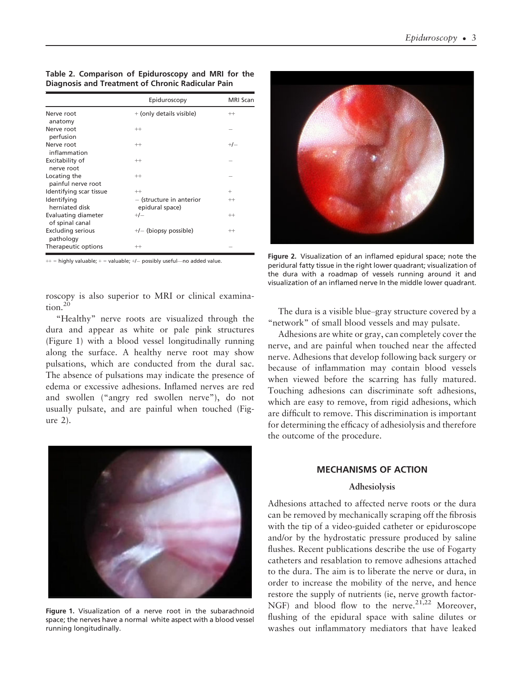Table 2. Comparison of Epiduroscopy and MRI for the Diagnosis and Treatment of Chronic Radicular Pain

|                                        | Epiduroscopy                                | MRI Scan |
|----------------------------------------|---------------------------------------------|----------|
| Nerve root                             | + (only details visible)                    | $^{++}$  |
| anatomy                                |                                             |          |
| Nerve root                             | $^{++}$                                     |          |
| perfusion                              |                                             |          |
| Nerve root                             | $^{++}$                                     | $+/-$    |
| inflammation                           |                                             |          |
| Excitability of                        | $^{++}$                                     |          |
| nerve root                             |                                             |          |
| Locating the<br>painful nerve root     | $^{++}$                                     |          |
| Identifying scar tissue                | $^{++}$                                     | $\pm$    |
| Identifying<br>herniated disk          | - (structure in anterior<br>epidural space) | $^{++}$  |
| Evaluating diameter<br>of spinal canal | $+/-$                                       | $^{++}$  |
| <b>Excluding serious</b><br>pathology  | $+/-$ (biopsy possible)                     | $^{++}$  |
| Therapeutic options                    | $^{++}$                                     |          |

 $++$  = highly valuable;  $+=$  valuable;  $+/-$  possibly useful—no added value.

roscopy is also superior to MRI or clinical examination.<sup>20</sup>

"Healthy" nerve roots are visualized through the dura and appear as white or pale pink structures (Figure 1) with a blood vessel longitudinally running along the surface. A healthy nerve root may show pulsations, which are conducted from the dural sac. The absence of pulsations may indicate the presence of edema or excessive adhesions. Inflamed nerves are red and swollen ("angry red swollen nerve"), do not usually pulsate, and are painful when touched (Figure 2).



Figure 1. Visualization of a nerve root in the subarachnoid space; the nerves have a normal white aspect with a blood vessel running longitudinally.



Figure 2. Visualization of an inflamed epidural space; note the peridural fatty tissue in the right lower quadrant; visualization of the dura with a roadmap of vessels running around it and visualization of an inflamed nerve In the middle lower quadrant.

The dura is a visible blue–gray structure covered by a "network" of small blood vessels and may pulsate.

Adhesions are white or gray, can completely cover the nerve, and are painful when touched near the affected nerve. Adhesions that develop following back surgery or because of inflammation may contain blood vessels when viewed before the scarring has fully matured. Touching adhesions can discriminate soft adhesions, which are easy to remove, from rigid adhesions, which are difficult to remove. This discrimination is important for determining the efficacy of adhesiolysis and therefore the outcome of the procedure.

# MECHANISMS OF ACTION

#### Adhesiolysis

Adhesions attached to affected nerve roots or the dura can be removed by mechanically scraping off the fibrosis with the tip of a video-guided catheter or epiduroscope and/or by the hydrostatic pressure produced by saline flushes. Recent publications describe the use of Fogarty catheters and resablation to remove adhesions attached to the dura. The aim is to liberate the nerve or dura, in order to increase the mobility of the nerve, and hence restore the supply of nutrients (ie, nerve growth factor-NGF) and blood flow to the nerve.<sup>21,22</sup> Moreover, flushing of the epidural space with saline dilutes or washes out inflammatory mediators that have leaked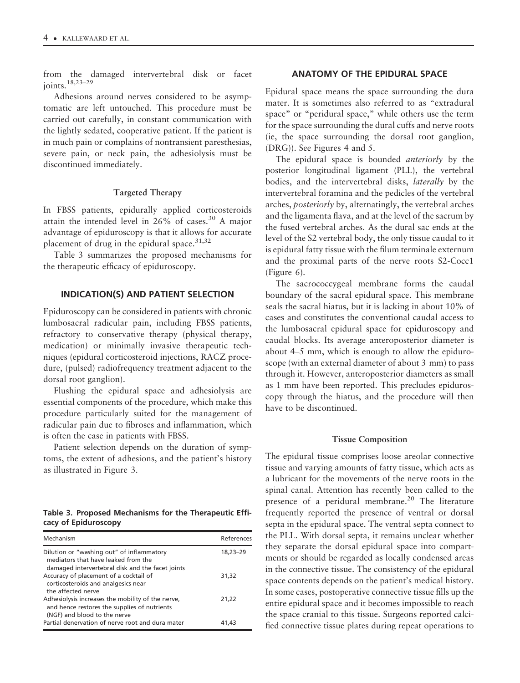from the damaged intervertebral disk or facet joints.18,23–<sup>29</sup>

Adhesions around nerves considered to be asymptomatic are left untouched. This procedure must be carried out carefully, in constant communication with the lightly sedated, cooperative patient. If the patient is in much pain or complains of nontransient paresthesias, severe pain, or neck pain, the adhesiolysis must be discontinued immediately.

#### Targeted Therapy

In FBSS patients, epidurally applied corticosteroids attain the intended level in  $26\%$  of cases.<sup>30</sup> A major advantage of epiduroscopy is that it allows for accurate placement of drug in the epidural space. $31,32$ 

Table 3 summarizes the proposed mechanisms for the therapeutic efficacy of epiduroscopy.

# INDICATION(S) AND PATIENT SELECTION

Epiduroscopy can be considered in patients with chronic lumbosacral radicular pain, including FBSS patients, refractory to conservative therapy (physical therapy, medication) or minimally invasive therapeutic techniques (epidural corticosteroid injections, RACZ procedure, (pulsed) radiofrequency treatment adjacent to the dorsal root ganglion).

Flushing the epidural space and adhesiolysis are essential components of the procedure, which make this procedure particularly suited for the management of radicular pain due to fibroses and inflammation, which is often the case in patients with FBSS.

Patient selection depends on the duration of symptoms, the extent of adhesions, and the patient's history as illustrated in Figure 3.

#### Table 3. Proposed Mechanisms for the Therapeutic Efficacy of Epiduroscopy

| Mechanism                                                                                                                            | References |
|--------------------------------------------------------------------------------------------------------------------------------------|------------|
| Dilution or "washing out" of inflammatory<br>mediators that have leaked from the<br>damaged intervertebral disk and the facet joints | 18,23-29   |
| Accuracy of placement of a cocktail of<br>corticosteroids and analgesics near<br>the affected nerve                                  | 31,32      |
| Adhesiolysis increases the mobility of the nerve,<br>and hence restores the supplies of nutrients<br>(NGF) and blood to the nerve    | 21,22      |
| Partial denervation of nerve root and dura mater                                                                                     | 41.43      |

# ANATOMY OF THE EPIDURAL SPACE

Epidural space means the space surrounding the dura mater. It is sometimes also referred to as "extradural space" or "peridural space," while others use the term for the space surrounding the dural cuffs and nerve roots (ie, the space surrounding the dorsal root ganglion, (DRG)). See Figures 4 and 5.

The epidural space is bounded *anteriorly* by the posterior longitudinal ligament (PLL), the vertebral bodies, and the intervertebral disks, laterally by the intervertebral foramina and the pedicles of the vertebral arches, posteriorly by, alternatingly, the vertebral arches and the ligamenta flava, and at the level of the sacrum by the fused vertebral arches. As the dural sac ends at the level of the S2 vertebral body, the only tissue caudal to it is epidural fatty tissue with the filum terminale externum and the proximal parts of the nerve roots S2-Cocc1 (Figure 6).

The sacrococcygeal membrane forms the caudal boundary of the sacral epidural space. This membrane seals the sacral hiatus, but it is lacking in about 10% of cases and constitutes the conventional caudal access to the lumbosacral epidural space for epiduroscopy and caudal blocks. Its average anteroposterior diameter is about 4–5 mm, which is enough to allow the epiduroscope (with an external diameter of about 3 mm) to pass through it. However, anteroposterior diameters as small as 1 mm have been reported. This precludes epiduroscopy through the hiatus, and the procedure will then have to be discontinued.

#### Tissue Composition

The epidural tissue comprises loose areolar connective tissue and varying amounts of fatty tissue, which acts as a lubricant for the movements of the nerve roots in the spinal canal. Attention has recently been called to the presence of a peridural membrane.<sup>20</sup> The literature frequently reported the presence of ventral or dorsal septa in the epidural space. The ventral septa connect to the PLL. With dorsal septa, it remains unclear whether they separate the dorsal epidural space into compartments or should be regarded as locally condensed areas in the connective tissue. The consistency of the epidural space contents depends on the patient's medical history. In some cases, postoperative connective tissue fills up the entire epidural space and it becomes impossible to reach the space cranial to this tissue. Surgeons reported calcified connective tissue plates during repeat operations to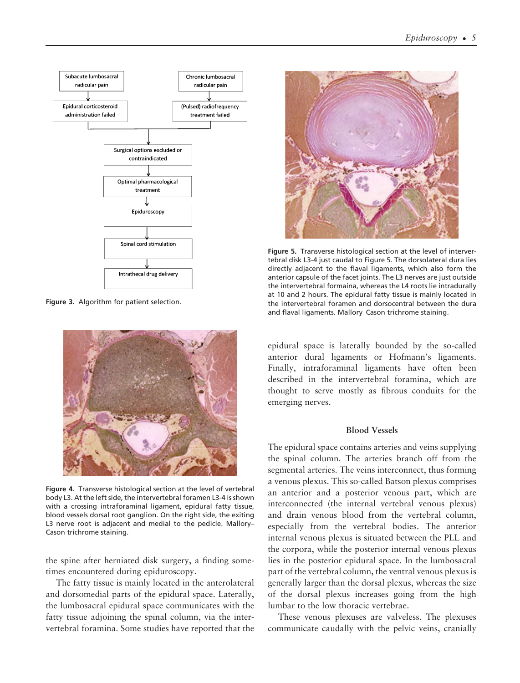

Figure 3. Algorithm for patient selection.



Figure 4. Transverse histological section at the level of vertebral body L3. At the left side, the intervertebral foramen L3-4 is shown with a crossing intraforaminal ligament, epidural fatty tissue, blood vessels dorsal root ganglion. On the right side, the exiting L3 nerve root is adjacent and medial to the pedicle. Mallory– Cason trichrome staining.

the spine after herniated disk surgery, a finding sometimes encountered during epiduroscopy.

The fatty tissue is mainly located in the anterolateral and dorsomedial parts of the epidural space. Laterally, the lumbosacral epidural space communicates with the fatty tissue adjoining the spinal column, via the intervertebral foramina. Some studies have reported that the



Figure 5. Transverse histological section at the level of intervertebral disk L3-4 just caudal to Figure 5. The dorsolateral dura lies directly adjacent to the flaval ligaments, which also form the anterior capsule of the facet joints. The L3 nerves are just outside the intervertebral formaina, whereas the L4 roots lie intradurally at 10 and 2 hours. The epidural fatty tissue is mainly located in the intervertebral foramen and dorsocentral between the dura and flaval ligaments. Mallory–Cason trichrome staining.

epidural space is laterally bounded by the so-called anterior dural ligaments or Hofmann's ligaments. Finally, intraforaminal ligaments have often been described in the intervertebral foramina, which are thought to serve mostly as fibrous conduits for the emerging nerves.

#### Blood Vessels

The epidural space contains arteries and veins supplying the spinal column. The arteries branch off from the segmental arteries. The veins interconnect, thus forming a venous plexus. This so-called Batson plexus comprises an anterior and a posterior venous part, which are interconnected (the internal vertebral venous plexus) and drain venous blood from the vertebral column, especially from the vertebral bodies. The anterior internal venous plexus is situated between the PLL and the corpora, while the posterior internal venous plexus lies in the posterior epidural space. In the lumbosacral part of the vertebral column, the ventral venous plexus is generally larger than the dorsal plexus, whereas the size of the dorsal plexus increases going from the high lumbar to the low thoracic vertebrae.

These venous plexuses are valveless. The plexuses communicate caudally with the pelvic veins, cranially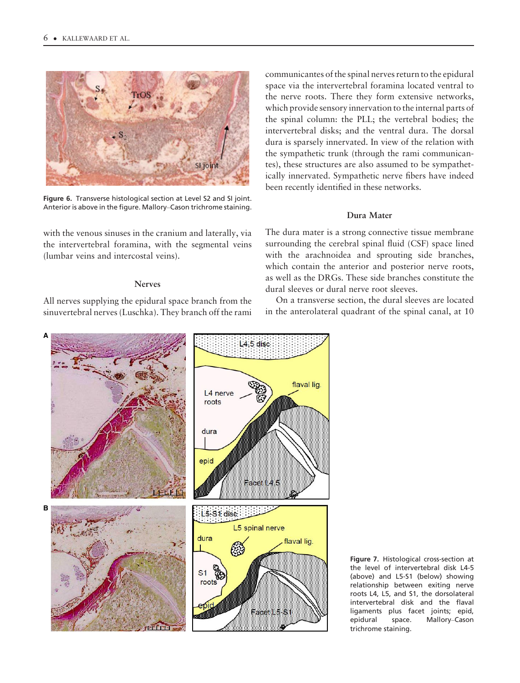

Figure 6. Transverse histological section at Level S2 and SI joint. Anterior is above in the figure. Mallory–Cason trichrome staining.

with the venous sinuses in the cranium and laterally, via the intervertebral foramina, with the segmental veins (lumbar veins and intercostal veins).

# Nerves

All nerves supplying the epidural space branch from the sinuvertebral nerves (Luschka). They branch off the rami

communicantes of the spinal nerves return to the epidural space via the intervertebral foramina located ventral to the nerve roots. There they form extensive networks, which provide sensory innervation to the internal parts of the spinal column: the PLL; the vertebral bodies; the intervertebral disks; and the ventral dura. The dorsal dura is sparsely innervated. In view of the relation with the sympathetic trunk (through the rami communicantes), these structures are also assumed to be sympathetically innervated. Sympathetic nerve fibers have indeed been recently identified in these networks.

#### Dura Mater

The dura mater is a strong connective tissue membrane surrounding the cerebral spinal fluid (CSF) space lined with the arachnoidea and sprouting side branches, which contain the anterior and posterior nerve roots, as well as the DRGs. These side branches constitute the dural sleeves or dural nerve root sleeves.

On a transverse section, the dural sleeves are located in the anterolateral quadrant of the spinal canal, at 10



Figure 7. Histological cross-section at the level of intervertebral disk L4-5 (above) and L5-S1 (below) showing relationship between exiting nerve roots L4, L5, and S1, the dorsolateral intervertebral disk and the flaval ligaments plus facet joints; epid, epidural space. Mallory–Cason trichrome staining.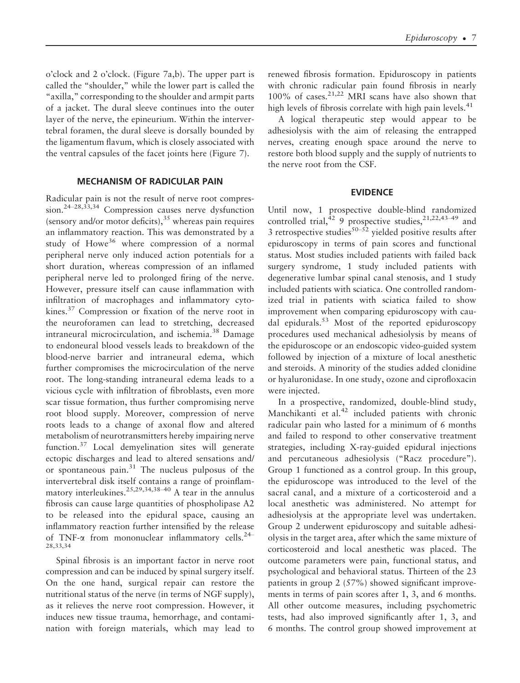o'clock and 2 o'clock. (Figure 7a,b). The upper part is called the "shoulder," while the lower part is called the "axilla," corresponding to the shoulder and armpit parts of a jacket. The dural sleeve continues into the outer layer of the nerve, the epineurium. Within the intervertebral foramen, the dural sleeve is dorsally bounded by the ligamentum flavum, which is closely associated with the ventral capsules of the facet joints here (Figure 7).

# MECHANISM OF RADICULAR PAIN

Radicular pain is not the result of nerve root compression.24–28,33,34 Compression causes nerve dysfunction (sensory and/or motor deficits), $35$  whereas pain requires an inflammatory reaction. This was demonstrated by a study of Howe<sup>36</sup> where compression of a normal peripheral nerve only induced action potentials for a short duration, whereas compression of an inflamed peripheral nerve led to prolonged firing of the nerve. However, pressure itself can cause inflammation with infiltration of macrophages and inflammatory cytokines.37 Compression or fixation of the nerve root in the neuroforamen can lead to stretching, decreased intraneural microcirculation, and ischemia.<sup>38</sup> Damage to endoneural blood vessels leads to breakdown of the blood-nerve barrier and intraneural edema, which further compromises the microcirculation of the nerve root. The long-standing intraneural edema leads to a vicious cycle with infiltration of fibroblasts, even more scar tissue formation, thus further compromising nerve root blood supply. Moreover, compression of nerve roots leads to a change of axonal flow and altered metabolism of neurotransmitters hereby impairing nerve function.<sup>37</sup> Local demyelination sites will generate ectopic discharges and lead to altered sensations and/ or spontaneous pain. $31$  The nucleus pulposus of the intervertebral disk itself contains a range of proinflammatory interleukines.<sup>25,29,34,38–40</sup> A tear in the annulus fibrosis can cause large quantities of phospholipase A2 to be released into the epidural space, causing an inflammatory reaction further intensified by the release of TNF- $\alpha$  from mononuclear inflammatory cells.<sup>24–</sup> 28,33,34

Spinal fibrosis is an important factor in nerve root compression and can be induced by spinal surgery itself. On the one hand, surgical repair can restore the nutritional status of the nerve (in terms of NGF supply), as it relieves the nerve root compression. However, it induces new tissue trauma, hemorrhage, and contamination with foreign materials, which may lead to

renewed fibrosis formation. Epiduroscopy in patients with chronic radicular pain found fibrosis in nearly  $100\%$  of cases.<sup>21,22</sup> MRI scans have also shown that high levels of fibrosis correlate with high pain levels.<sup>41</sup>

A logical therapeutic step would appear to be adhesiolysis with the aim of releasing the entrapped nerves, creating enough space around the nerve to restore both blood supply and the supply of nutrients to the nerve root from the CSF.

# EVIDENCE

Until now, 1 prospective double-blind randomized controlled trial, $429$  prospective studies,  $21,22,43-49$  and 3 retrospective studies<sup>50–52</sup> yielded positive results after epiduroscopy in terms of pain scores and functional status. Most studies included patients with failed back surgery syndrome, 1 study included patients with degenerative lumbar spinal canal stenosis, and 1 study included patients with sciatica. One controlled randomized trial in patients with sciatica failed to show improvement when comparing epiduroscopy with caudal epidurals.<sup>53</sup> Most of the reported epiduroscopy procedures used mechanical adhesiolysis by means of the epiduroscope or an endoscopic video-guided system followed by injection of a mixture of local anesthetic and steroids. A minority of the studies added clonidine or hyaluronidase. In one study, ozone and ciprofloxacin were injected.

In a prospective, randomized, double-blind study, Manchikanti et al. $42$  included patients with chronic radicular pain who lasted for a minimum of 6 months and failed to respond to other conservative treatment strategies, including X-ray-guided epidural injections and percutaneous adhesiolysis ("Racz procedure"). Group 1 functioned as a control group. In this group, the epiduroscope was introduced to the level of the sacral canal, and a mixture of a corticosteroid and a local anesthetic was administered. No attempt for adhesiolysis at the appropriate level was undertaken. Group 2 underwent epiduroscopy and suitable adhesiolysis in the target area, after which the same mixture of corticosteroid and local anesthetic was placed. The outcome parameters were pain, functional status, and psychological and behavioral status. Thirteen of the 23 patients in group 2 (57%) showed significant improvements in terms of pain scores after 1, 3, and 6 months. All other outcome measures, including psychometric tests, had also improved significantly after 1, 3, and 6 months. The control group showed improvement at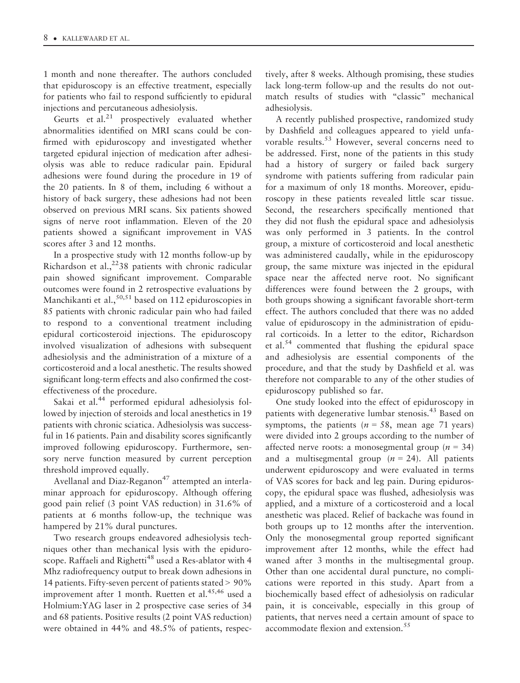1 month and none thereafter. The authors concluded that epiduroscopy is an effective treatment, especially for patients who fail to respond sufficiently to epidural injections and percutaneous adhesiolysis.

Geurts et al. $^{21}$  prospectively evaluated whether abnormalities identified on MRI scans could be confirmed with epiduroscopy and investigated whether targeted epidural injection of medication after adhesiolysis was able to reduce radicular pain. Epidural adhesions were found during the procedure in 19 of the 20 patients. In 8 of them, including 6 without a history of back surgery, these adhesions had not been observed on previous MRI scans. Six patients showed signs of nerve root inflammation. Eleven of the 20 patients showed a significant improvement in VAS scores after 3 and 12 months.

In a prospective study with 12 months follow-up by Richardson et al.,  $2^{2}38$  patients with chronic radicular pain showed significant improvement. Comparable outcomes were found in 2 retrospective evaluations by Manchikanti et al.,  $50,51$  based on 112 epiduroscopies in 85 patients with chronic radicular pain who had failed to respond to a conventional treatment including epidural corticosteroid injections. The epiduroscopy involved visualization of adhesions with subsequent adhesiolysis and the administration of a mixture of a corticosteroid and a local anesthetic. The results showed significant long-term effects and also confirmed the costeffectiveness of the procedure.

Sakai et al.<sup>44</sup> performed epidural adhesiolysis followed by injection of steroids and local anesthetics in 19 patients with chronic sciatica. Adhesiolysis was successful in 16 patients. Pain and disability scores significantly improved following epiduroscopy. Furthermore, sensory nerve function measured by current perception threshold improved equally.

Avellanal and Diaz-Reganon<sup>47</sup> attempted an interlaminar approach for epiduroscopy. Although offering good pain relief (3 point VAS reduction) in 31.6% of patients at 6 months follow-up, the technique was hampered by 21% dural punctures.

Two research groups endeavored adhesiolysis techniques other than mechanical lysis with the epiduroscope. Raffaeli and Righetti<sup>48</sup> used a Res-ablator with 4 Mhz radiofrequency output to break down adhesions in 14 patients. Fifty-seven percent of patients stated > 90% improvement after 1 month. Ruetten et al.<sup>45,46</sup> used a Holmium:YAG laser in 2 prospective case series of 34 and 68 patients. Positive results (2 point VAS reduction) were obtained in 44% and 48.5% of patients, respectively, after 8 weeks. Although promising, these studies lack long-term follow-up and the results do not outmatch results of studies with "classic" mechanical adhesiolysis.

A recently published prospective, randomized study by Dashfield and colleagues appeared to yield unfavorable results.<sup>53</sup> However, several concerns need to be addressed. First, none of the patients in this study had a history of surgery or failed back surgery syndrome with patients suffering from radicular pain for a maximum of only 18 months. Moreover, epiduroscopy in these patients revealed little scar tissue. Second, the researchers specifically mentioned that they did not flush the epidural space and adhesiolysis was only performed in 3 patients. In the control group, a mixture of corticosteroid and local anesthetic was administered caudally, while in the epiduroscopy group, the same mixture was injected in the epidural space near the affected nerve root. No significant differences were found between the 2 groups, with both groups showing a significant favorable short-term effect. The authors concluded that there was no added value of epiduroscopy in the administration of epidural corticoids. In a letter to the editor, Richardson et al.<sup>54</sup> commented that flushing the epidural space and adhesiolysis are essential components of the procedure, and that the study by Dashfield et al. was therefore not comparable to any of the other studies of epiduroscopy published so far.

One study looked into the effect of epiduroscopy in patients with degenerative lumbar stenosis.<sup>43</sup> Based on symptoms, the patients ( $n = 58$ , mean age 71 years) were divided into 2 groups according to the number of affected nerve roots: a monosegmental group ( $n = 34$ ) and a multisegmental group  $(n = 24)$ . All patients underwent epiduroscopy and were evaluated in terms of VAS scores for back and leg pain. During epiduroscopy, the epidural space was flushed, adhesiolysis was applied, and a mixture of a corticosteroid and a local anesthetic was placed. Relief of backache was found in both groups up to 12 months after the intervention. Only the monosegmental group reported significant improvement after 12 months, while the effect had waned after 3 months in the multisegmental group. Other than one accidental dural puncture, no complications were reported in this study. Apart from a biochemically based effect of adhesiolysis on radicular pain, it is conceivable, especially in this group of patients, that nerves need a certain amount of space to accommodate flexion and extension.<sup>55</sup>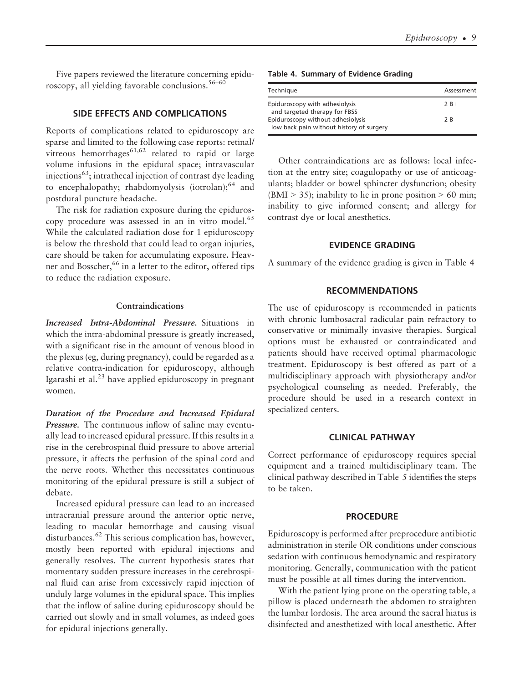Five papers reviewed the literature concerning epiduroscopy, all yielding favorable conclusions.<sup>56–60</sup>

# SIDE EFFECTS AND COMPLICATIONS

Reports of complications related to epiduroscopy are sparse and limited to the following case reports: retinal/ vitreous hemorrhages<sup>61,62</sup> related to rapid or large volume infusions in the epidural space; intravascular injections<sup>63</sup>; intrathecal injection of contrast dye leading to encephalopathy; rhabdomyolysis (iotrolan); $^{64}$  and postdural puncture headache.

The risk for radiation exposure during the epiduroscopy procedure was assessed in an in vitro model.<sup>65</sup> While the calculated radiation dose for 1 epiduroscopy is below the threshold that could lead to organ injuries, care should be taken for accumulating exposure. Heavner and Bosscher,<sup>66</sup> in a letter to the editor, offered tips to reduce the radiation exposure.

#### Contraindications

Increased Intra-Abdominal Pressure. Situations in which the intra-abdominal pressure is greatly increased, with a significant rise in the amount of venous blood in the plexus (eg, during pregnancy), could be regarded as a relative contra-indication for epiduroscopy, although Igarashi et al. $^{23}$  have applied epiduroscopy in pregnant women.

Duration of the Procedure and Increased Epidural Pressure. The continuous inflow of saline may eventually lead to increased epidural pressure. If this results in a rise in the cerebrospinal fluid pressure to above arterial pressure, it affects the perfusion of the spinal cord and the nerve roots. Whether this necessitates continuous monitoring of the epidural pressure is still a subject of debate.

Increased epidural pressure can lead to an increased intracranial pressure around the anterior optic nerve, leading to macular hemorrhage and causing visual disturbances.<sup>62</sup> This serious complication has, however, mostly been reported with epidural injections and generally resolves. The current hypothesis states that momentary sudden pressure increases in the cerebrospinal fluid can arise from excessively rapid injection of unduly large volumes in the epidural space. This implies that the inflow of saline during epiduroscopy should be carried out slowly and in small volumes, as indeed goes for epidural injections generally.

|  |  |  | Table 4. Summary of Evidence Grading |  |  |  |  |  |
|--|--|--|--------------------------------------|--|--|--|--|--|
|--|--|--|--------------------------------------|--|--|--|--|--|

| Technique                                                                     | Assessment |
|-------------------------------------------------------------------------------|------------|
| Epiduroscopy with adhesiolysis<br>and targeted therapy for FBSS               | $2R+$      |
| Epiduroscopy without adhesiolysis<br>low back pain without history of surgery | $2R -$     |

Other contraindications are as follows: local infection at the entry site; coagulopathy or use of anticoagulants; bladder or bowel sphincter dysfunction; obesity  $(BMI > 35)$ ; inability to lie in prone position > 60 min; inability to give informed consent; and allergy for contrast dye or local anesthetics.

#### EVIDENCE GRADING

A summary of the evidence grading is given in Table 4

### RECOMMENDATIONS

The use of epiduroscopy is recommended in patients with chronic lumbosacral radicular pain refractory to conservative or minimally invasive therapies. Surgical options must be exhausted or contraindicated and patients should have received optimal pharmacologic treatment. Epiduroscopy is best offered as part of a multidisciplinary approach with physiotherapy and/or psychological counseling as needed. Preferably, the procedure should be used in a research context in specialized centers.

# CLINICAL PATHWAY

Correct performance of epiduroscopy requires special equipment and a trained multidisciplinary team. The clinical pathway described in Table 5 identifies the steps to be taken.

## **PROCEDURE**

Epiduroscopy is performed after preprocedure antibiotic administration in sterile OR conditions under conscious sedation with continuous hemodynamic and respiratory monitoring. Generally, communication with the patient must be possible at all times during the intervention.

With the patient lying prone on the operating table, a pillow is placed underneath the abdomen to straighten the lumbar lordosis. The area around the sacral hiatus is disinfected and anesthetized with local anesthetic. After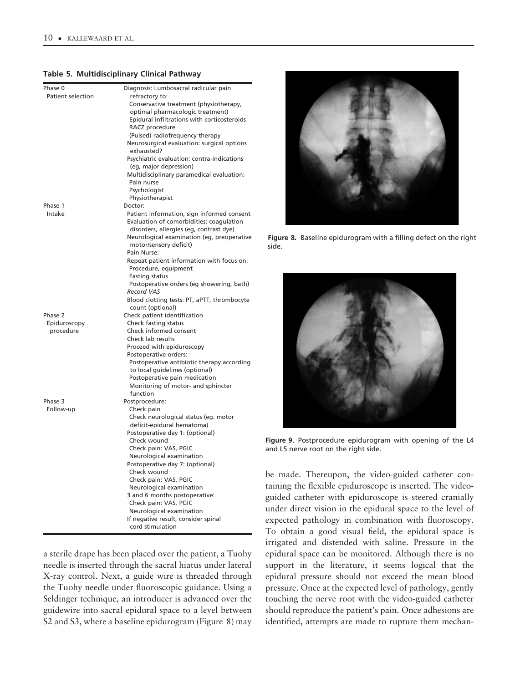#### Table 5. Multidisciplinary Clinical Pathway

| Patient selection<br>refractory to:<br>Conservative treatment (physiotherapy,<br>optimal pharmacologic treatment)<br>Epidural infiltrations with corticosteroids<br>RACZ procedure<br>(Pulsed) radiofrequency therapy<br>Neurosurgical evaluation: surgical options<br>exhausted?<br>Psychiatric evaluation: contra-indications<br>(eg, major depression)<br>Multidisciplinary paramedical evaluation:<br>Pain nurse<br>Psychologist<br>Physiotherapist<br>Phase 1<br>Doctor:<br>Patient information, sign informed consent<br>Intake<br>Evaluation of comorbidities: coagulation<br>disorders, allergies (eg, contrast dye)<br>Neurological examination (eg, preoperative<br>motor/sensory deficit)<br>Pain Nurse:<br>Repeat patient information with focus on:<br>Procedure, equipment<br><b>Fasting status</b><br>Postoperative orders (eg showering, bath)<br><b>Record VAS</b><br>Blood clotting tests: PT, aPTT, thrombocyte<br>count (optional)<br>Check patient identification<br>Phase 2<br>Check fasting status<br>Epiduroscopy<br>Check informed consent<br>procedure<br>Check lab results<br>Proceed with epiduroscopy<br>Postoperative orders:<br>Postoperative antibiotic therapy according<br>to local guidelines (optional)<br>Postoperative pain medication<br>Monitoring of motor- and sphincter<br>function<br>Phase 3<br>Postprocedure:<br>Check pain<br>Follow-up<br>Check neurological status (eg. motor<br>deficit-epidural hematoma)<br>Postoperative day 1: (optional)<br>Check wound<br>Check pain: VAS, PGIC<br>Neurological examination<br>Postoperative day 7: (optional)<br>Check wound<br>Check pain: VAS, PGIC<br>Neurological examination | Phase 0 | Diagnosis: Lumbosacral radicular pain |
|----------------------------------------------------------------------------------------------------------------------------------------------------------------------------------------------------------------------------------------------------------------------------------------------------------------------------------------------------------------------------------------------------------------------------------------------------------------------------------------------------------------------------------------------------------------------------------------------------------------------------------------------------------------------------------------------------------------------------------------------------------------------------------------------------------------------------------------------------------------------------------------------------------------------------------------------------------------------------------------------------------------------------------------------------------------------------------------------------------------------------------------------------------------------------------------------------------------------------------------------------------------------------------------------------------------------------------------------------------------------------------------------------------------------------------------------------------------------------------------------------------------------------------------------------------------------------------------------------------------------------------------------------------------------------|---------|---------------------------------------|
|                                                                                                                                                                                                                                                                                                                                                                                                                                                                                                                                                                                                                                                                                                                                                                                                                                                                                                                                                                                                                                                                                                                                                                                                                                                                                                                                                                                                                                                                                                                                                                                                                                                                            |         |                                       |
|                                                                                                                                                                                                                                                                                                                                                                                                                                                                                                                                                                                                                                                                                                                                                                                                                                                                                                                                                                                                                                                                                                                                                                                                                                                                                                                                                                                                                                                                                                                                                                                                                                                                            |         |                                       |
|                                                                                                                                                                                                                                                                                                                                                                                                                                                                                                                                                                                                                                                                                                                                                                                                                                                                                                                                                                                                                                                                                                                                                                                                                                                                                                                                                                                                                                                                                                                                                                                                                                                                            |         |                                       |
|                                                                                                                                                                                                                                                                                                                                                                                                                                                                                                                                                                                                                                                                                                                                                                                                                                                                                                                                                                                                                                                                                                                                                                                                                                                                                                                                                                                                                                                                                                                                                                                                                                                                            |         |                                       |
|                                                                                                                                                                                                                                                                                                                                                                                                                                                                                                                                                                                                                                                                                                                                                                                                                                                                                                                                                                                                                                                                                                                                                                                                                                                                                                                                                                                                                                                                                                                                                                                                                                                                            |         |                                       |
|                                                                                                                                                                                                                                                                                                                                                                                                                                                                                                                                                                                                                                                                                                                                                                                                                                                                                                                                                                                                                                                                                                                                                                                                                                                                                                                                                                                                                                                                                                                                                                                                                                                                            |         |                                       |
|                                                                                                                                                                                                                                                                                                                                                                                                                                                                                                                                                                                                                                                                                                                                                                                                                                                                                                                                                                                                                                                                                                                                                                                                                                                                                                                                                                                                                                                                                                                                                                                                                                                                            |         |                                       |
|                                                                                                                                                                                                                                                                                                                                                                                                                                                                                                                                                                                                                                                                                                                                                                                                                                                                                                                                                                                                                                                                                                                                                                                                                                                                                                                                                                                                                                                                                                                                                                                                                                                                            |         |                                       |
|                                                                                                                                                                                                                                                                                                                                                                                                                                                                                                                                                                                                                                                                                                                                                                                                                                                                                                                                                                                                                                                                                                                                                                                                                                                                                                                                                                                                                                                                                                                                                                                                                                                                            |         |                                       |
|                                                                                                                                                                                                                                                                                                                                                                                                                                                                                                                                                                                                                                                                                                                                                                                                                                                                                                                                                                                                                                                                                                                                                                                                                                                                                                                                                                                                                                                                                                                                                                                                                                                                            |         |                                       |
|                                                                                                                                                                                                                                                                                                                                                                                                                                                                                                                                                                                                                                                                                                                                                                                                                                                                                                                                                                                                                                                                                                                                                                                                                                                                                                                                                                                                                                                                                                                                                                                                                                                                            |         |                                       |
|                                                                                                                                                                                                                                                                                                                                                                                                                                                                                                                                                                                                                                                                                                                                                                                                                                                                                                                                                                                                                                                                                                                                                                                                                                                                                                                                                                                                                                                                                                                                                                                                                                                                            |         |                                       |
|                                                                                                                                                                                                                                                                                                                                                                                                                                                                                                                                                                                                                                                                                                                                                                                                                                                                                                                                                                                                                                                                                                                                                                                                                                                                                                                                                                                                                                                                                                                                                                                                                                                                            |         |                                       |
|                                                                                                                                                                                                                                                                                                                                                                                                                                                                                                                                                                                                                                                                                                                                                                                                                                                                                                                                                                                                                                                                                                                                                                                                                                                                                                                                                                                                                                                                                                                                                                                                                                                                            |         |                                       |
|                                                                                                                                                                                                                                                                                                                                                                                                                                                                                                                                                                                                                                                                                                                                                                                                                                                                                                                                                                                                                                                                                                                                                                                                                                                                                                                                                                                                                                                                                                                                                                                                                                                                            |         |                                       |
|                                                                                                                                                                                                                                                                                                                                                                                                                                                                                                                                                                                                                                                                                                                                                                                                                                                                                                                                                                                                                                                                                                                                                                                                                                                                                                                                                                                                                                                                                                                                                                                                                                                                            |         |                                       |
|                                                                                                                                                                                                                                                                                                                                                                                                                                                                                                                                                                                                                                                                                                                                                                                                                                                                                                                                                                                                                                                                                                                                                                                                                                                                                                                                                                                                                                                                                                                                                                                                                                                                            |         |                                       |
|                                                                                                                                                                                                                                                                                                                                                                                                                                                                                                                                                                                                                                                                                                                                                                                                                                                                                                                                                                                                                                                                                                                                                                                                                                                                                                                                                                                                                                                                                                                                                                                                                                                                            |         |                                       |
|                                                                                                                                                                                                                                                                                                                                                                                                                                                                                                                                                                                                                                                                                                                                                                                                                                                                                                                                                                                                                                                                                                                                                                                                                                                                                                                                                                                                                                                                                                                                                                                                                                                                            |         |                                       |
|                                                                                                                                                                                                                                                                                                                                                                                                                                                                                                                                                                                                                                                                                                                                                                                                                                                                                                                                                                                                                                                                                                                                                                                                                                                                                                                                                                                                                                                                                                                                                                                                                                                                            |         |                                       |
|                                                                                                                                                                                                                                                                                                                                                                                                                                                                                                                                                                                                                                                                                                                                                                                                                                                                                                                                                                                                                                                                                                                                                                                                                                                                                                                                                                                                                                                                                                                                                                                                                                                                            |         |                                       |
|                                                                                                                                                                                                                                                                                                                                                                                                                                                                                                                                                                                                                                                                                                                                                                                                                                                                                                                                                                                                                                                                                                                                                                                                                                                                                                                                                                                                                                                                                                                                                                                                                                                                            |         |                                       |
|                                                                                                                                                                                                                                                                                                                                                                                                                                                                                                                                                                                                                                                                                                                                                                                                                                                                                                                                                                                                                                                                                                                                                                                                                                                                                                                                                                                                                                                                                                                                                                                                                                                                            |         |                                       |
|                                                                                                                                                                                                                                                                                                                                                                                                                                                                                                                                                                                                                                                                                                                                                                                                                                                                                                                                                                                                                                                                                                                                                                                                                                                                                                                                                                                                                                                                                                                                                                                                                                                                            |         |                                       |
|                                                                                                                                                                                                                                                                                                                                                                                                                                                                                                                                                                                                                                                                                                                                                                                                                                                                                                                                                                                                                                                                                                                                                                                                                                                                                                                                                                                                                                                                                                                                                                                                                                                                            |         |                                       |
|                                                                                                                                                                                                                                                                                                                                                                                                                                                                                                                                                                                                                                                                                                                                                                                                                                                                                                                                                                                                                                                                                                                                                                                                                                                                                                                                                                                                                                                                                                                                                                                                                                                                            |         |                                       |
|                                                                                                                                                                                                                                                                                                                                                                                                                                                                                                                                                                                                                                                                                                                                                                                                                                                                                                                                                                                                                                                                                                                                                                                                                                                                                                                                                                                                                                                                                                                                                                                                                                                                            |         |                                       |
|                                                                                                                                                                                                                                                                                                                                                                                                                                                                                                                                                                                                                                                                                                                                                                                                                                                                                                                                                                                                                                                                                                                                                                                                                                                                                                                                                                                                                                                                                                                                                                                                                                                                            |         |                                       |
|                                                                                                                                                                                                                                                                                                                                                                                                                                                                                                                                                                                                                                                                                                                                                                                                                                                                                                                                                                                                                                                                                                                                                                                                                                                                                                                                                                                                                                                                                                                                                                                                                                                                            |         |                                       |
|                                                                                                                                                                                                                                                                                                                                                                                                                                                                                                                                                                                                                                                                                                                                                                                                                                                                                                                                                                                                                                                                                                                                                                                                                                                                                                                                                                                                                                                                                                                                                                                                                                                                            |         |                                       |
|                                                                                                                                                                                                                                                                                                                                                                                                                                                                                                                                                                                                                                                                                                                                                                                                                                                                                                                                                                                                                                                                                                                                                                                                                                                                                                                                                                                                                                                                                                                                                                                                                                                                            |         |                                       |
|                                                                                                                                                                                                                                                                                                                                                                                                                                                                                                                                                                                                                                                                                                                                                                                                                                                                                                                                                                                                                                                                                                                                                                                                                                                                                                                                                                                                                                                                                                                                                                                                                                                                            |         |                                       |
|                                                                                                                                                                                                                                                                                                                                                                                                                                                                                                                                                                                                                                                                                                                                                                                                                                                                                                                                                                                                                                                                                                                                                                                                                                                                                                                                                                                                                                                                                                                                                                                                                                                                            |         |                                       |
|                                                                                                                                                                                                                                                                                                                                                                                                                                                                                                                                                                                                                                                                                                                                                                                                                                                                                                                                                                                                                                                                                                                                                                                                                                                                                                                                                                                                                                                                                                                                                                                                                                                                            |         |                                       |
|                                                                                                                                                                                                                                                                                                                                                                                                                                                                                                                                                                                                                                                                                                                                                                                                                                                                                                                                                                                                                                                                                                                                                                                                                                                                                                                                                                                                                                                                                                                                                                                                                                                                            |         |                                       |
|                                                                                                                                                                                                                                                                                                                                                                                                                                                                                                                                                                                                                                                                                                                                                                                                                                                                                                                                                                                                                                                                                                                                                                                                                                                                                                                                                                                                                                                                                                                                                                                                                                                                            |         |                                       |
|                                                                                                                                                                                                                                                                                                                                                                                                                                                                                                                                                                                                                                                                                                                                                                                                                                                                                                                                                                                                                                                                                                                                                                                                                                                                                                                                                                                                                                                                                                                                                                                                                                                                            |         |                                       |
|                                                                                                                                                                                                                                                                                                                                                                                                                                                                                                                                                                                                                                                                                                                                                                                                                                                                                                                                                                                                                                                                                                                                                                                                                                                                                                                                                                                                                                                                                                                                                                                                                                                                            |         |                                       |
|                                                                                                                                                                                                                                                                                                                                                                                                                                                                                                                                                                                                                                                                                                                                                                                                                                                                                                                                                                                                                                                                                                                                                                                                                                                                                                                                                                                                                                                                                                                                                                                                                                                                            |         |                                       |
|                                                                                                                                                                                                                                                                                                                                                                                                                                                                                                                                                                                                                                                                                                                                                                                                                                                                                                                                                                                                                                                                                                                                                                                                                                                                                                                                                                                                                                                                                                                                                                                                                                                                            |         |                                       |
|                                                                                                                                                                                                                                                                                                                                                                                                                                                                                                                                                                                                                                                                                                                                                                                                                                                                                                                                                                                                                                                                                                                                                                                                                                                                                                                                                                                                                                                                                                                                                                                                                                                                            |         |                                       |
|                                                                                                                                                                                                                                                                                                                                                                                                                                                                                                                                                                                                                                                                                                                                                                                                                                                                                                                                                                                                                                                                                                                                                                                                                                                                                                                                                                                                                                                                                                                                                                                                                                                                            |         |                                       |
|                                                                                                                                                                                                                                                                                                                                                                                                                                                                                                                                                                                                                                                                                                                                                                                                                                                                                                                                                                                                                                                                                                                                                                                                                                                                                                                                                                                                                                                                                                                                                                                                                                                                            |         |                                       |
|                                                                                                                                                                                                                                                                                                                                                                                                                                                                                                                                                                                                                                                                                                                                                                                                                                                                                                                                                                                                                                                                                                                                                                                                                                                                                                                                                                                                                                                                                                                                                                                                                                                                            |         |                                       |
|                                                                                                                                                                                                                                                                                                                                                                                                                                                                                                                                                                                                                                                                                                                                                                                                                                                                                                                                                                                                                                                                                                                                                                                                                                                                                                                                                                                                                                                                                                                                                                                                                                                                            |         |                                       |
|                                                                                                                                                                                                                                                                                                                                                                                                                                                                                                                                                                                                                                                                                                                                                                                                                                                                                                                                                                                                                                                                                                                                                                                                                                                                                                                                                                                                                                                                                                                                                                                                                                                                            |         |                                       |
|                                                                                                                                                                                                                                                                                                                                                                                                                                                                                                                                                                                                                                                                                                                                                                                                                                                                                                                                                                                                                                                                                                                                                                                                                                                                                                                                                                                                                                                                                                                                                                                                                                                                            |         |                                       |
|                                                                                                                                                                                                                                                                                                                                                                                                                                                                                                                                                                                                                                                                                                                                                                                                                                                                                                                                                                                                                                                                                                                                                                                                                                                                                                                                                                                                                                                                                                                                                                                                                                                                            |         |                                       |
|                                                                                                                                                                                                                                                                                                                                                                                                                                                                                                                                                                                                                                                                                                                                                                                                                                                                                                                                                                                                                                                                                                                                                                                                                                                                                                                                                                                                                                                                                                                                                                                                                                                                            |         |                                       |
|                                                                                                                                                                                                                                                                                                                                                                                                                                                                                                                                                                                                                                                                                                                                                                                                                                                                                                                                                                                                                                                                                                                                                                                                                                                                                                                                                                                                                                                                                                                                                                                                                                                                            |         |                                       |
|                                                                                                                                                                                                                                                                                                                                                                                                                                                                                                                                                                                                                                                                                                                                                                                                                                                                                                                                                                                                                                                                                                                                                                                                                                                                                                                                                                                                                                                                                                                                                                                                                                                                            |         |                                       |
|                                                                                                                                                                                                                                                                                                                                                                                                                                                                                                                                                                                                                                                                                                                                                                                                                                                                                                                                                                                                                                                                                                                                                                                                                                                                                                                                                                                                                                                                                                                                                                                                                                                                            |         | 3 and 6 months postoperative:         |
| Check pain: VAS, PGIC                                                                                                                                                                                                                                                                                                                                                                                                                                                                                                                                                                                                                                                                                                                                                                                                                                                                                                                                                                                                                                                                                                                                                                                                                                                                                                                                                                                                                                                                                                                                                                                                                                                      |         |                                       |
| Neurological examination                                                                                                                                                                                                                                                                                                                                                                                                                                                                                                                                                                                                                                                                                                                                                                                                                                                                                                                                                                                                                                                                                                                                                                                                                                                                                                                                                                                                                                                                                                                                                                                                                                                   |         |                                       |
| If negative result, consider spinal                                                                                                                                                                                                                                                                                                                                                                                                                                                                                                                                                                                                                                                                                                                                                                                                                                                                                                                                                                                                                                                                                                                                                                                                                                                                                                                                                                                                                                                                                                                                                                                                                                        |         |                                       |
|                                                                                                                                                                                                                                                                                                                                                                                                                                                                                                                                                                                                                                                                                                                                                                                                                                                                                                                                                                                                                                                                                                                                                                                                                                                                                                                                                                                                                                                                                                                                                                                                                                                                            |         | cord stimulation                      |
|                                                                                                                                                                                                                                                                                                                                                                                                                                                                                                                                                                                                                                                                                                                                                                                                                                                                                                                                                                                                                                                                                                                                                                                                                                                                                                                                                                                                                                                                                                                                                                                                                                                                            |         |                                       |

a sterile drape has been placed over the patient, a Tuohy needle is inserted through the sacral hiatus under lateral X-ray control. Next, a guide wire is threaded through the Tuohy needle under fluoroscopic guidance. Using a Seldinger technique, an introducer is advanced over the guidewire into sacral epidural space to a level between S2 and S3, where a baseline epidurogram (Figure 8) may



Figure 8. Baseline epidurogram with a filling defect on the right side.



Figure 9. Postprocedure epidurogram with opening of the L4 and L5 nerve root on the right side.

be made. Thereupon, the video-guided catheter containing the flexible epiduroscope is inserted. The videoguided catheter with epiduroscope is steered cranially under direct vision in the epidural space to the level of expected pathology in combination with fluoroscopy. To obtain a good visual field, the epidural space is irrigated and distended with saline. Pressure in the epidural space can be monitored. Although there is no support in the literature, it seems logical that the epidural pressure should not exceed the mean blood pressure. Once at the expected level of pathology, gently touching the nerve root with the video-guided catheter should reproduce the patient's pain. Once adhesions are identified, attempts are made to rupture them mechan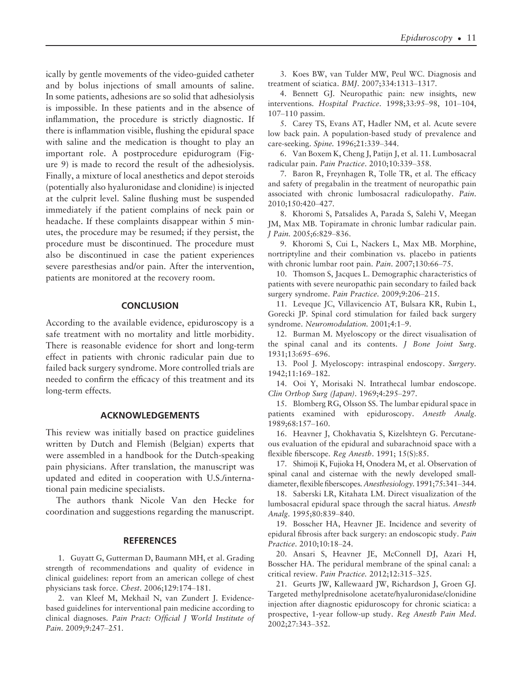ically by gentle movements of the video-guided catheter and by bolus injections of small amounts of saline. In some patients, adhesions are so solid that adhesiolysis is impossible. In these patients and in the absence of inflammation, the procedure is strictly diagnostic. If there is inflammation visible, flushing the epidural space with saline and the medication is thought to play an important role. A postprocedure epidurogram (Figure 9) is made to record the result of the adhesiolysis. Finally, a mixture of local anesthetics and depot steroids (potentially also hyaluronidase and clonidine) is injected at the culprit level. Saline flushing must be suspended immediately if the patient complains of neck pain or headache. If these complaints disappear within 5 minutes, the procedure may be resumed; if they persist, the procedure must be discontinued. The procedure must also be discontinued in case the patient experiences severe paresthesias and/or pain. After the intervention, patients are monitored at the recovery room.

# **CONCLUSION**

According to the available evidence, epiduroscopy is a safe treatment with no mortality and little morbidity. There is reasonable evidence for short and long-term effect in patients with chronic radicular pain due to failed back surgery syndrome. More controlled trials are needed to confirm the efficacy of this treatment and its long-term effects.

# ACKNOWLEDGEMENTS

This review was initially based on practice guidelines written by Dutch and Flemish (Belgian) experts that were assembled in a handbook for the Dutch-speaking pain physicians. After translation, the manuscript was updated and edited in cooperation with U.S./international pain medicine specialists.

The authors thank Nicole Van den Hecke for coordination and suggestions regarding the manuscript.

## **REFERENCES**

1. Guyatt G, Gutterman D, Baumann MH, et al. Grading strength of recommendations and quality of evidence in clinical guidelines: report from an american college of chest physicians task force. Chest. 2006;129:174–181.

2. van Kleef M, Mekhail N, van Zundert J. Evidencebased guidelines for interventional pain medicine according to clinical diagnoses. Pain Pract: Official J World Institute of Pain. 2009;9:247–251.

3. Koes BW, van Tulder MW, Peul WC. Diagnosis and treatment of sciatica. BMJ. 2007;334:1313–1317.

4. Bennett GJ. Neuropathic pain: new insights, new interventions. Hospital Practice. 1998;33:95–98, 101–104, 107–110 passim.

5. Carey TS, Evans AT, Hadler NM, et al. Acute severe low back pain. A population-based study of prevalence and care-seeking. Spine. 1996;21:339–344.

6. Van Boxem K, Cheng J, Patijn J, et al. 11. Lumbosacral radicular pain. Pain Practice. 2010;10:339–358.

7. Baron R, Freynhagen R, Tolle TR, et al. The efficacy and safety of pregabalin in the treatment of neuropathic pain associated with chronic lumbosacral radiculopathy. Pain. 2010;150:420–427.

8. Khoromi S, Patsalides A, Parada S, Salehi V, Meegan JM, Max MB. Topiramate in chronic lumbar radicular pain. J Pain. 2005;6:829–836.

9. Khoromi S, Cui L, Nackers L, Max MB. Morphine, nortriptyline and their combination vs. placebo in patients with chronic lumbar root pain. Pain. 2007;130:66–75.

10. Thomson S, Jacques L. Demographic characteristics of patients with severe neuropathic pain secondary to failed back surgery syndrome. Pain Practice. 2009;9:206–215.

11. Leveque JC, Villavicencio AT, Bulsara KR, Rubin L, Gorecki JP. Spinal cord stimulation for failed back surgery syndrome. Neuromodulation. 2001;4:1–9.

12. Burman M. Myeloscopy or the direct visualisation of the spinal canal and its contents. J Bone Joint Surg. 1931;13:695–696.

13. Pool J. Myeloscopy: intraspinal endoscopy. Surgery. 1942;11:169–182.

14. Ooi Y, Morisaki N. Intrathecal lumbar endoscope. Clin Orthop Surg (Japan). 1969;4:295–297.

15. Blomberg RG, Olsson SS. The lumbar epidural space in patients examined with epiduroscopy. Anesth Analg. 1989;68:157–160.

16. Heavner J, Chokhavatia S, Kizelshteyn G. Percutaneous evaluation of the epidural and subarachnoid space with a flexible fiberscope. Reg Anesth. 1991; 15(S):85.

17. Shimoji K, Fujioka H, Onodera M, et al. Observation of spinal canal and cisternae with the newly developed smalldiameter, flexible fiberscopes. Anesthesiology. 1991;75:341–344.

18. Saberski LR, Kitahata LM. Direct visualization of the lumbosacral epidural space through the sacral hiatus. Anesth Analg. 1995;80:839–840.

19. Bosscher HA, Heavner JE. Incidence and severity of epidural fibrosis after back surgery: an endoscopic study. Pain Practice. 2010;10:18–24.

20. Ansari S, Heavner JE, McConnell DJ, Azari H, Bosscher HA. The peridural membrane of the spinal canal: a critical review. Pain Practice. 2012;12:315–325.

21. Geurts JW, Kallewaard JW, Richardson J, Groen GJ. Targeted methylprednisolone acetate/hyaluronidase/clonidine injection after diagnostic epiduroscopy for chronic sciatica: a prospective, 1-year follow-up study. Reg Anesth Pain Med. 2002;27:343–352.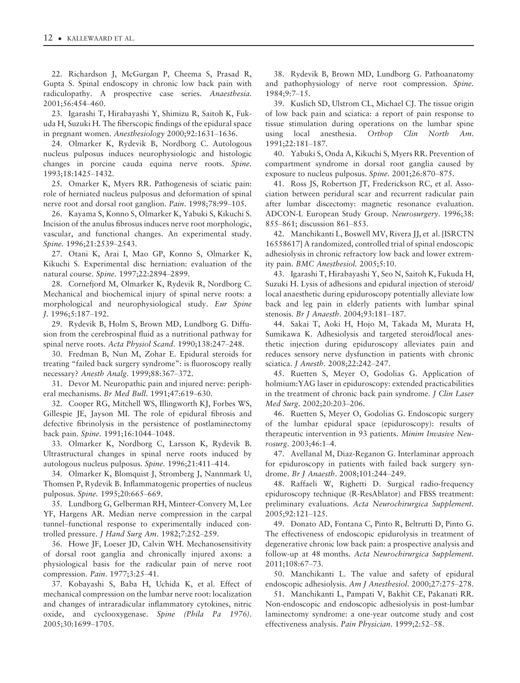22. Richardson J, McGurgan P, Cheema S, Prasad R, Gupta S. Spinal endoscopy in chronic low back pain with radiculopathy. A prospective case series. Anaesthesia. 2001;56:454–460.

23. Igarashi T, Hirabayashi Y, Shimizu R, Saitoh K, Fukuda H, Suzuki H. The fiberscopic findings of the epidural space in pregnant women. Anesthesiology 2000;92:1631–1636.

24. Olmarker K, Rydevik B, Nordborg C. Autologous nucleus pulposus induces neurophysiologic and histologic changes in porcine cauda equina nerve roots. Spine. 1993;18:1425–1432.

25. Omarker K, Myers RR. Pathogenesis of sciatic pain: role of herniated nucleus pulposus and deformation of spinal nerve root and dorsal root ganglion. Pain. 1998;78:99–105.

26. Kayama S, Konno S, Olmarker K, Yabuki S, Kikuchi S. Incision of the anulus fibrosus induces nerve root morphologic, vascular, and functional changes. An experimental study. Spine. 1996;21:2539–2543.

27. Otani K, Arai I, Mao GP, Konno S, Olmarker K, Kikuchi S. Experimental disc herniation: evaluation of the natural course. Spine. 1997;22:2894–2899.

28. Cornefjord M, Olmarker K, Rydevik R, Nordborg C. Mechanical and biochemical injury of spinal nerve roots: a morphological and neurophysiological study. Eur Spine J. 1996;5:187–192.

29. Rydevik B, Holm S, Brown MD, Lundborg G. Diffusion from the cerebrospinal fluid as a nutritional pathway for spinal nerve roots. Acta Physiol Scand. 1990;138:247–248.

30. Fredman B, Nun M, Zohar E. Epidural steroids for treating "failed back surgery syndrome": is fluoroscopy really necessary? Anesth Analg. 1999;88:367–372.

31. Devor M. Neuropathic pain and injured nerve: peripheral mechanisms. Br Med Bull. 1991;47:619–630.

32. Cooper RG, Mitchell WS, Illingworth KJ, Forbes WS, Gillespie JE, Jayson MI. The role of epidural fibrosis and defective fibrinolysis in the persistence of postlaminectomy back pain. Spine. 1991;16:1044–1048.

33. Olmarker K, Nordborg C, Larsson K, Rydevik B. Ultrastructural changes in spinal nerve roots induced by autologous nucleus pulposus. Spine. 1996;21:411–414.

34. Olmarker K, Blomquist J, Stromberg J, Nannmark U, Thomsen P, Rydevik B. Inflammatogenic properties of nucleus pulposus. Spine. 1995;20:665–669.

35. Lundborg G, Gelberman RH, Minteer-Convery M, Lee YF, Hargens AR. Median nerve compression in the carpal tunnel–functional response to experimentally induced controlled pressure. J Hand Surg Am. 1982;7:252–259.

36. Howe JF, Loeser JD, Calvin WH. Mechanosensitivity of dorsal root ganglia and chronically injured axons: a physiological basis for the radicular pain of nerve root compression. Pain. 1977;3:25–41.

37. Kobayashi S, Baba H, Uchida K, et al. Effect of mechanical compression on the lumbar nerve root: localization and changes of intraradicular inflammatory cytokines, nitric oxide, and cyclooxygenase. Spine (Phila Pa 1976). 2005;30:1699–1705.

38. Rydevik B, Brown MD, Lundborg G. Pathoanatomy and pathophysiology of nerve root compression. Spine. 1984;9:7–15.

39. Kuslich SD, Ulstrom CL, Michael CJ. The tissue origin of low back pain and sciatica: a report of pain response to tissue stimulation during operations on the lumbar spine using local anesthesia. Orthop Clin North Am. 1991;22:181–187.

40. Yabuki S, Onda A, Kikuchi S, Myers RR. Prevention of compartment syndrome in dorsal root ganglia caused by exposure to nucleus pulposus. Spine. 2001;26:870–875.

41. Ross JS, Robertson JT, Frederickson RC, et al. Association between peridural scar and recurrent radicular pain after lumbar discectomy: magnetic resonance evaluation. ADCON-L European Study Group. Neurosurgery. 1996;38: 855–861; discussion 861–853.

42. Manchikanti L, Boswell MV, Rivera JJ, et al. [ISRCTN] 16558617] A randomized, controlled trial of spinal endoscopic adhesiolysis in chronic refractory low back and lower extremity pain. BMC Anesthesiol. 2005;5:10.

43. Igarashi T, Hirabayashi Y, Seo N, Saitoh K, Fukuda H, Suzuki H. Lysis of adhesions and epidural injection of steroid/ local anaesthetic during epiduroscopy potentially alleviate low back and leg pain in elderly patients with lumbar spinal stenosis. Br J Anaesth. 2004;93:181–187.

44. Sakai T, Aoki H, Hojo M, Takada M, Murata H, Sumikawa K. Adhesiolysis and targeted steroid/local anesthetic injection during epiduroscopy alleviates pain and reduces sensory nerve dysfunction in patients with chronic sciatica. J Anesth. 2008;22:242–247.

45. Ruetten S, Meyer O, Godolias G. Application of holmium:YAG laser in epiduroscopy: extended practicabilities in the treatment of chronic back pain syndrome. J Clin Laser Med Surg. 2002;20:203–206.

46. Ruetten S, Meyer O, Godolias G. Endoscopic surgery of the lumbar epidural space (epiduroscopy): results of therapeutic intervention in 93 patients. Minim Invasive Neurosurg. 2003;46:1–4.

47. Avellanal M, Diaz-Reganon G. Interlaminar approach for epiduroscopy in patients with failed back surgery syndrome. Br J Anaesth. 2008;101:244–249.

48. Raffaeli W, Righetti D. Surgical radio-frequency epiduroscopy technique (R-ResAblator) and FBSS treatment: preliminary evaluations. Acta Neurochirurgica Supplement. 2005;92:121–125.

49. Donato AD, Fontana C, Pinto R, Beltrutti D, Pinto G. The effectiveness of endoscopic epidurolysis in treatment of degenerative chronic low back pain: a prospective analysis and follow-up at 48 months. Acta Neurochirurgica Supplement. 2011;108:67–73.

50. Manchikanti L. The value and safety of epidural endoscopic adhesiolysis. Am J Anesthesiol. 2000;27:275–278.

51. Manchikanti L, Pampati V, Bakhit CE, Pakanati RR. Non-endoscopic and endoscopic adhesiolysis in post-lumbar laminectomy syndrome: a one-year outcome study and cost effectiveness analysis. Pain Physician. 1999;2:52–58.